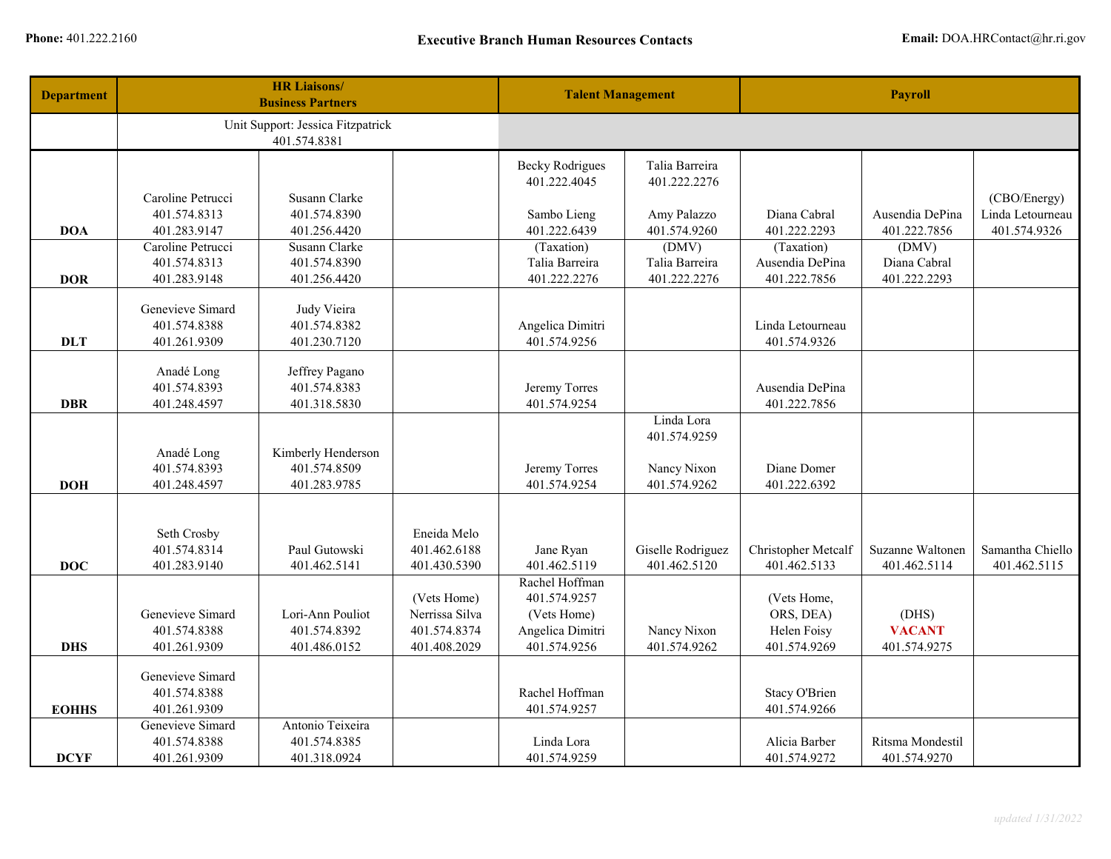| <b>Department</b> | <b>HR Liaisons/</b><br><b>Business Partners</b> |                                                   | <b>Talent Management</b>     |                                        | <b>Payroll</b>                 |                               |                       |                  |
|-------------------|-------------------------------------------------|---------------------------------------------------|------------------------------|----------------------------------------|--------------------------------|-------------------------------|-----------------------|------------------|
|                   |                                                 | Unit Support: Jessica Fitzpatrick<br>401.574.8381 |                              |                                        |                                |                               |                       |                  |
|                   |                                                 |                                                   |                              | <b>Becky Rodrigues</b><br>401.222.4045 | Talia Barreira<br>401.222.2276 |                               |                       |                  |
|                   | Caroline Petrucci                               | Susann Clarke                                     |                              |                                        |                                |                               |                       | (CBO/Energy)     |
|                   | 401.574.8313                                    | 401.574.8390                                      |                              | Sambo Lieng                            | Amy Palazzo                    | Diana Cabral                  | Ausendia DePina       | Linda Letourneau |
| <b>DOA</b>        | 401.283.9147<br>Caroline Petrucci               | 401.256.4420<br>Susann Clarke                     |                              | 401.222.6439                           | 401.574.9260                   | 401.222.2293                  | 401.222.7856          | 401.574.9326     |
|                   | 401.574.8313                                    | 401.574.8390                                      |                              | (Taxation)<br>Talia Barreira           | (DMV)<br>Talia Barreira        | (Taxation)<br>Ausendia DePina | (DMV)<br>Diana Cabral |                  |
| <b>DOR</b>        | 401.283.9148                                    | 401.256.4420                                      |                              | 401.222.2276                           | 401.222.2276                   | 401.222.7856                  | 401.222.2293          |                  |
|                   |                                                 |                                                   |                              |                                        |                                |                               |                       |                  |
|                   | Genevieve Simard                                | Judy Vieira                                       |                              |                                        |                                |                               |                       |                  |
|                   | 401.574.8388                                    | 401.574.8382                                      |                              | Angelica Dimitri                       |                                | Linda Letourneau              |                       |                  |
| <b>DLT</b>        | 401.261.9309                                    | 401.230.7120                                      |                              | 401.574.9256                           |                                | 401.574.9326                  |                       |                  |
|                   | Anadé Long                                      | Jeffrey Pagano                                    |                              |                                        |                                |                               |                       |                  |
|                   | 401.574.8393                                    | 401.574.8383                                      |                              | Jeremy Torres                          |                                | Ausendia DePina               |                       |                  |
| <b>DBR</b>        | 401.248.4597                                    | 401.318.5830                                      |                              | 401.574.9254                           |                                | 401.222.7856                  |                       |                  |
|                   |                                                 |                                                   |                              |                                        | Linda Lora                     |                               |                       |                  |
|                   |                                                 |                                                   |                              |                                        | 401.574.9259                   |                               |                       |                  |
|                   | Anadé Long                                      | Kimberly Henderson                                |                              |                                        |                                |                               |                       |                  |
|                   | 401.574.8393                                    | 401.574.8509                                      |                              | Jeremy Torres                          | Nancy Nixon                    | Diane Domer                   |                       |                  |
| <b>DOH</b>        | 401.248.4597                                    | 401.283.9785                                      |                              | 401.574.9254                           | 401.574.9262                   | 401.222.6392                  |                       |                  |
|                   |                                                 |                                                   |                              |                                        |                                |                               |                       |                  |
|                   | Seth Crosby                                     |                                                   | Eneida Melo                  |                                        |                                |                               |                       |                  |
|                   | 401.574.8314                                    | Paul Gutowski                                     | 401.462.6188                 | Jane Ryan                              | Giselle Rodriguez              | Christopher Metcalf           | Suzanne Waltonen      | Samantha Chiello |
| <b>DOC</b>        | 401.283.9140                                    | 401.462.5141                                      | 401.430.5390                 | 401.462.5119                           | 401.462.5120                   | 401.462.5133                  | 401.462.5114          | 401.462.5115     |
|                   |                                                 |                                                   |                              | Rachel Hoffman                         |                                |                               |                       |                  |
|                   |                                                 |                                                   | (Vets Home)                  | 401.574.9257                           |                                | (Vets Home,                   |                       |                  |
|                   | Genevieve Simard                                | Lori-Ann Pouliot                                  | Nerrissa Silva               | (Vets Home)                            |                                | ORS, DEA)                     | (DHS)                 |                  |
| <b>DHS</b>        | 401.574.8388<br>401.261.9309                    | 401.574.8392<br>401.486.0152                      | 401.574.8374<br>401.408.2029 | Angelica Dimitri<br>401.574.9256       | Nancy Nixon<br>401.574.9262    | Helen Foisy<br>401.574.9269   | <b>VACANT</b>         |                  |
|                   |                                                 |                                                   |                              |                                        |                                |                               | 401.574.9275          |                  |
|                   | Genevieve Simard                                |                                                   |                              |                                        |                                |                               |                       |                  |
|                   | 401.574.8388                                    |                                                   |                              | Rachel Hoffman                         |                                | Stacy O'Brien                 |                       |                  |
| <b>EOHHS</b>      | 401.261.9309                                    |                                                   |                              | 401.574.9257                           |                                | 401.574.9266                  |                       |                  |
|                   | Genevieve Simard                                | Antonio Teixeira                                  |                              |                                        |                                |                               |                       |                  |
|                   | 401.574.8388                                    | 401.574.8385                                      |                              | Linda Lora                             |                                | Alicia Barber                 | Ritsma Mondestil      |                  |
| <b>DCYF</b>       | 401.261.9309                                    | 401.318.0924                                      |                              | 401.574.9259                           |                                | 401.574.9272                  | 401.574.9270          |                  |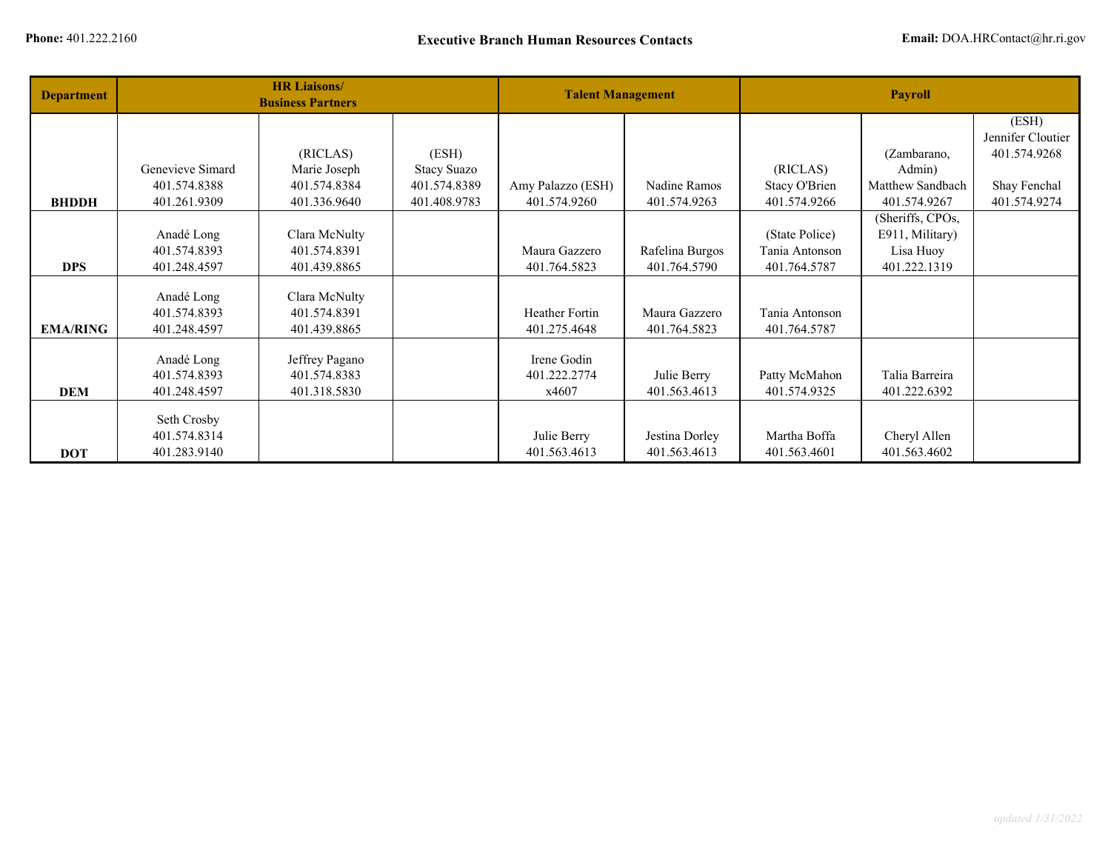| <b>Department</b> | <b>HR Liaisons/</b><br><b>Business Partners</b> |                |                    | <b>Talent Management</b> |                 | <b>Payroll</b> |                  |                   |
|-------------------|-------------------------------------------------|----------------|--------------------|--------------------------|-----------------|----------------|------------------|-------------------|
|                   |                                                 |                |                    |                          |                 |                |                  | (ESH)             |
|                   |                                                 |                |                    |                          |                 |                |                  | Jennifer Cloutier |
|                   |                                                 | (RICLAS)       | (ESH)              |                          |                 |                | (Zambarano,      | 401.574.9268      |
|                   | Genevieve Simard                                | Marie Joseph   | <b>Stacy Suazo</b> |                          |                 | (RICLAS)       | Admin)           |                   |
|                   | 401.574.8388                                    | 401.574.8384   | 401.574.8389       | Amy Palazzo (ESH)        | Nadine Ramos    | Stacy O'Brien  | Matthew Sandbach | Shay Fenchal      |
| <b>BHDDH</b>      | 401.261.9309                                    | 401.336.9640   | 401.408.9783       | 401.574.9260             | 401.574.9263    | 401.574.9266   | 401.574.9267     | 401.574.9274      |
|                   |                                                 |                |                    |                          |                 |                | (Sheriffs, CPOs, |                   |
|                   | Anadé Long                                      | Clara McNulty  |                    |                          |                 | (State Police) | E911, Military)  |                   |
|                   | 401.574.8393                                    | 401.574.8391   |                    | Maura Gazzero            | Rafelina Burgos | Tania Antonson | Lisa Huoy        |                   |
| <b>DPS</b>        | 401.248.4597                                    | 401.439.8865   |                    | 401.764.5823             | 401.764.5790    | 401.764.5787   | 401.222.1319     |                   |
|                   |                                                 |                |                    |                          |                 |                |                  |                   |
|                   | Anadé Long                                      | Clara McNulty  |                    |                          |                 |                |                  |                   |
|                   | 401.574.8393                                    | 401.574.8391   |                    | Heather Fortin           | Maura Gazzero   | Tania Antonson |                  |                   |
| <b>EMA/RING</b>   | 401.248.4597                                    | 401.439.8865   |                    | 401.275.4648             | 401.764.5823    | 401.764.5787   |                  |                   |
|                   |                                                 |                |                    |                          |                 |                |                  |                   |
|                   | Anadé Long                                      | Jeffrey Pagano |                    | Irene Godin              |                 |                |                  |                   |
|                   | 401.574.8393                                    | 401.574.8383   |                    | 401.222.2774             | Julie Berry     | Patty McMahon  | Talia Barreira   |                   |
| <b>DEM</b>        | 401.248.4597                                    | 401.318.5830   |                    | x4607                    | 401.563.4613    | 401.574.9325   | 401.222.6392     |                   |
|                   |                                                 |                |                    |                          |                 |                |                  |                   |
|                   | Seth Crosby                                     |                |                    |                          |                 |                |                  |                   |
|                   | 401.574.8314                                    |                |                    | Julie Berry              | Jestina Dorley  | Martha Boffa   | Cheryl Allen     |                   |
| <b>DOT</b>        | 401.283.9140                                    |                |                    | 401.563.4613             | 401.563.4613    | 401.563.4601   | 401.563.4602     |                   |